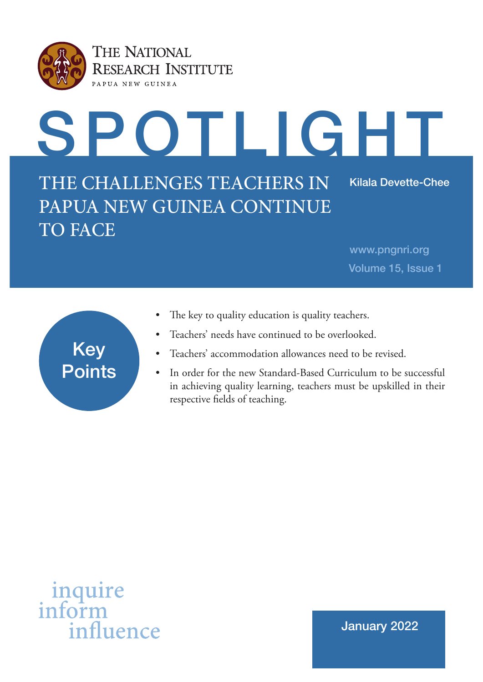

# SPOTLIGHT THE CHALLENGES TEACHERS IN PAPUA NEW GUINEA CONTINUE TO FACE Kilala Devette-Chee

www.pngnri.org Volume 15, Issue 1

| <b>Key</b>    |  |
|---------------|--|
| <b>Points</b> |  |
|               |  |

- The key to quality education is quality teachers.
- Teachers' needs have continued to be overlooked.
- Teachers' accommodation allowances need to be revised.
- In order for the new Standard-Based Curriculum to be successful in achieving quality learning, teachers must be upskilled in their respective felds of teaching.



January 2022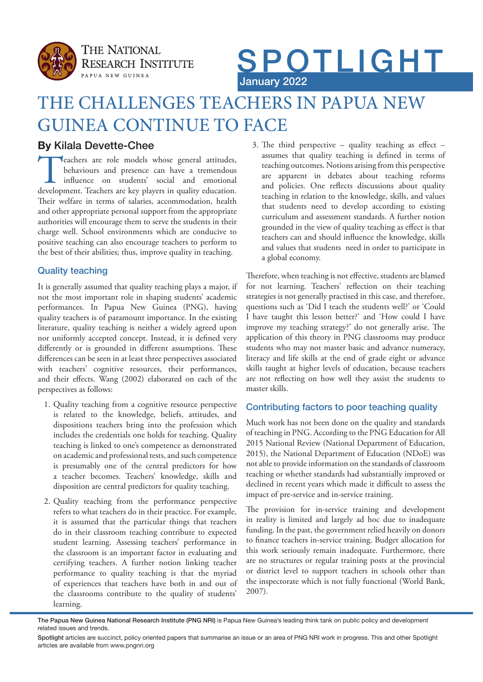



## THE CHALLENGES TEACHERS IN PAPUA NEW GUINEA CONTINUE TO FACE

## **By** Kilala Devette-Chee

**Teachers are role models whose general attitudes,** behaviours and presence can have a tremendous influence on students' social and emotional development. Teachers are key players in quality education. behaviours and presence can have a tremendous infuence on students' social and emotional Their welfare in terms of salaries, accommodation, health and other appropriate personal support from the appropriate authorities will encourage them to serve the students in their charge well. School environments which are conducive to positive teaching can also encourage teachers to perform to the best of their abilities; thus, improve quality in teaching.

## Quality teaching

It is generally assumed that quality teaching plays a major, if not the most important role in shaping students' academic performances. In Papua New Guinea (PNG), having quality teachers is of paramount importance. In the existing literature, quality teaching is neither a widely agreed upon nor uniformly accepted concept. Instead, it is defned very differently or is grounded in different assumptions. These diferences can be seen in at least three perspectives associated with teachers' cognitive resources, their performances, and their efects. Wang (2002) elaborated on each of the perspectives as follows:

- 1. Quality teaching from a cognitive resource perspective is related to the knowledge, beliefs, attitudes, and dispositions teachers bring into the profession which includes the credentials one holds for teaching. Quality teaching is linked to one's competence as demonstrated on academic and professional tests, and such competence is presumably one of the central predictors for how a teacher becomes. Teachers' knowledge, skills and disposition are central predictors for quality teaching.
- 2. Quality teaching from the performance perspective refers to what teachers do in their practice. For example, it is assumed that the particular things that teachers do in their classroom teaching contribute to expected student learning. Assessing teachers' performance in the classroom is an important factor in evaluating and certifying teachers. A further notion linking teacher performance to quality teaching is that the myriad of experiences that teachers have both in and out of the classrooms contribute to the quality of students' learning.

3. The third perspective – quality teaching as effect – assumes that quality teaching is defned in terms of teaching outcomes. Notions arising from this perspective are apparent in debates about teaching reforms and policies. One refects discussions about quality teaching in relation to the knowledge, skills, and values that students need to develop according to existing curriculum and assessment standards. A further notion grounded in the view of quality teaching as efect is that teachers can and should infuence the knowledge, skills and values that students need in order to participate in a global economy.

Therefore, when teaching is not effective, students are blamed for not learning. Teachers' refection on their teaching strategies is not generally practised in this case, and therefore, questions such as 'Did I teach the students well?' or 'Could I have taught this lesson better?' and 'How could I have improve my teaching strategy?' do not generally arise. The application of this theory in PNG classrooms may produce students who may not master basic and advance numeracy, literacy and life skills at the end of grade eight or advance skills taught at higher levels of education, because teachers are not refecting on how well they assist the students to master skills.

## Contributing factors to poor teaching quality

Much work has not been done on the quality and standards of teaching in PNG. According to the PNG Education for All 2015 National Review (National Department of Education, 2015), the National Department of Education (NDoE) was not able to provide information on the standards of classroom teaching or whether standards had substantially improved or declined in recent years which made it difficult to assess the impact of pre-service and in-service training.

The provision for in-service training and development in reality is limited and largely ad hoc due to inadequate funding. In the past, the government relied heavily on donors to fnance teachers in-service training. Budget allocation for this work seriously remain inadequate. Furthermore, there are no structures or regular training posts at the provincial or district level to support teachers in schools other than the inspectorate which is not fully functional (World Bank, 2007).

The Papua New Guinea National Research Institute (PNG NRI) is Papua New Guinea's leading think tank on public policy and development related issues and trends.

Spotlight articles are succinct, policy oriented papers that summarise an issue or an area of PNG NRI work in progress. This and other Spotlight articles are available from www.pngnri.org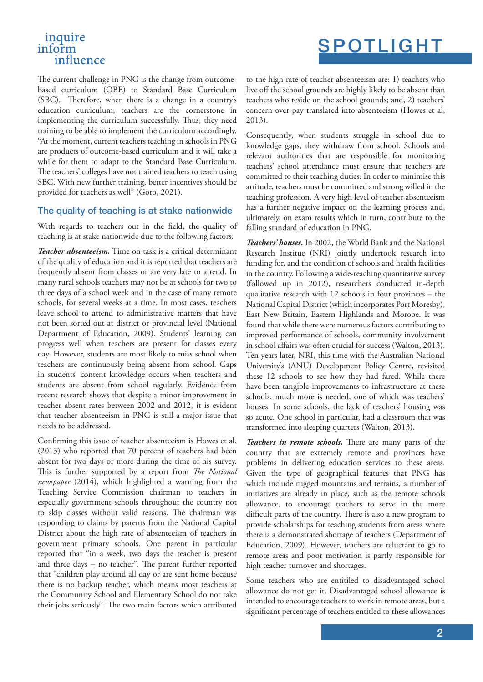## inquire inform influence

## SPOTLIGHT

The current challenge in PNG is the change from outcomebased curriculum (OBE) to Standard Base Curriculum (SBC). Therefore, when there is a change in a country's education curriculum, teachers are the cornerstone in implementing the curriculum successfully. Thus, they need training to be able to implement the curriculum accordingly. "At the moment, current teachers teaching in schools in PNG are products of outcome-based curriculum and it will take a while for them to adapt to the Standard Base Curriculum. The teachers' colleges have not trained teachers to teach using SBC. With new further training, better incentives should be provided for teachers as well" (Goro, 2021).

#### The quality of teaching is at stake nationwide

With regards to teachers out in the feld, the quality of teaching is at stake nationwide due to the following factors:

*Teacher absenteeism.* Time on task is a critical determinant of the quality of education and it is reported that teachers are frequently absent from classes or are very late to attend. In many rural schools teachers may not be at schools for two to three days of a school week and in the case of many remote schools, for several weeks at a time. In most cases, teachers leave school to attend to administrative matters that have not been sorted out at district or provincial level (National Department of Education, 2009). Students' learning can progress well when teachers are present for classes every day. However, students are most likely to miss school when teachers are continuously being absent from school. Gaps in students' content knowledge occurs when teachers and students are absent from school regularly. Evidence from recent research shows that despite a minor improvement in teacher absent rates between 2002 and 2012, it is evident that teacher absenteeism in PNG is still a major issue that needs to be addressed.

Confrming this issue of teacher absenteeism is Howes et al. (2013) who reported that 70 percent of teachers had been absent for two days or more during the time of his survey. This is further supported by a report from *The National newspaper* (2014), which highlighted a warning from the Teaching Service Commission chairman to teachers in especially government schools throughout the country not to skip classes without valid reasons. The chairman was responding to claims by parents from the National Capital District about the high rate of absenteeism of teachers in government primary schools. One parent in particular reported that "in a week, two days the teacher is present and three days  $-$  no teacher". The parent further reported that "children play around all day or are sent home because there is no backup teacher, which means most teachers at the Community School and Elementary School do not take their jobs seriously". The two main factors which attributed

to the high rate of teacher absenteeism are: 1) teachers who live off the school grounds are highly likely to be absent than teachers who reside on the school grounds; and, 2) teachers' concern over pay translated into absenteeism (Howes et al, 2013).

Consequently, when students struggle in school due to knowledge gaps, they withdraw from school. Schools and relevant authorities that are responsible for monitoring teachers' school attendance must ensure that teachers are committed to their teaching duties. In order to minimise this attitude, teachers must be committed and strong willed in the teaching profession. A very high level of teacher absenteeism has a further negative impact on the learning process and, ultimately, on exam results which in turn, contribute to the falling standard of education in PNG.

*Teachers' houses.* In 2002, the World Bank and the National Research Institue (NRI) jointly undertook research into funding for, and the condition of schools and health facilities in the country. Following a wide-reaching quantitative survey (followed up in 2012), researchers conducted in-depth qualitative research with 12 schools in four provinces – the National Capital District (which incorporates Port Moresby), East New Britain, Eastern Highlands and Morobe. It was found that while there were numerous factors contributing to improved performance of schools, community involvement in school affairs was often crucial for success (Walton, 2013). Ten years later, NRI, this time with the Australian National University's (ANU) Development Policy Centre, revisited these 12 schools to see how they had fared. While there have been tangible improvements to infrastructure at these schools, much more is needed, one of which was teachers' houses. In some schools, the lack of teachers' housing was so acute. One school in particular, had a classroom that was transformed into sleeping quarters (Walton, 2013).

*Teachers in remote schools.* There are many parts of the country that are extremely remote and provinces have problems in delivering education services to these areas. Given the type of geographical features that PNG has which include rugged mountains and terrains, a number of initiatives are already in place, such as the remote schools allowance, to encourage teachers to serve in the more difficult parts of the country. There is also a new program to provide scholarships for teaching students from areas where there is a demonstrated shortage of teachers (Department of Education, 2009). However, teachers are reluctant to go to remote areas and poor motivation is partly responsible for high teacher turnover and shortages.

Some teachers who are entitiled to disadvantaged school allowance do not get it. Disadvantaged school allowance is intended to encourage teachers to work in remote areas, but a signifcant percentage of teachers entitled to these allowances